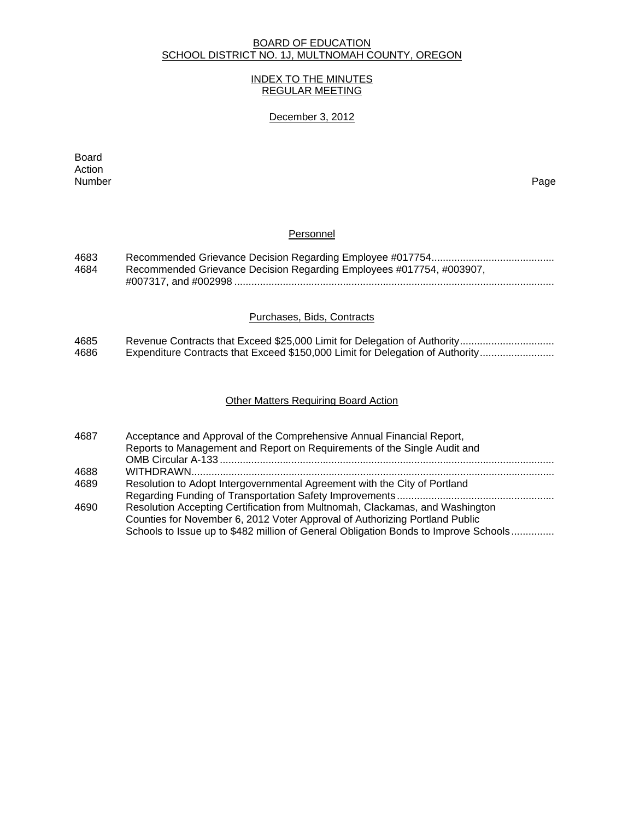# BOARD OF EDUCATION SCHOOL DISTRICT NO. 1J, MULTNOMAH COUNTY, OREGON

## INDEX TO THE MINUTES REGULAR MEETING

# December 3, 2012

extending the control of the control of the control of the control of the control of the control of the control of the control of the control of the control of the control of the control of the control of the control of th Action<br>Number Number Page

# **Personnel**

| 4683 |                                                                      |
|------|----------------------------------------------------------------------|
| 4684 | Recommended Grievance Decision Regarding Employees #017754, #003907, |
|      |                                                                      |

### Purchases, Bids, Contracts

| 4685 |                                                                               |
|------|-------------------------------------------------------------------------------|
| 4686 | Expenditure Contracts that Exceed \$150,000 Limit for Delegation of Authority |

### Other Matters Requiring Board Action

| 4687 | Acceptance and Approval of the Comprehensive Annual Financial Report,               |
|------|-------------------------------------------------------------------------------------|
|      | Reports to Management and Report on Requirements of the Single Audit and            |
|      |                                                                                     |
| 4688 |                                                                                     |
| 4689 | Resolution to Adopt Intergovernmental Agreement with the City of Portland           |
|      |                                                                                     |
| 4690 | Resolution Accepting Certification from Multnomah, Clackamas, and Washington        |
|      | Counties for November 6, 2012 Voter Approval of Authorizing Portland Public         |
|      | Schools to Issue up to \$482 million of General Obligation Bonds to Improve Schools |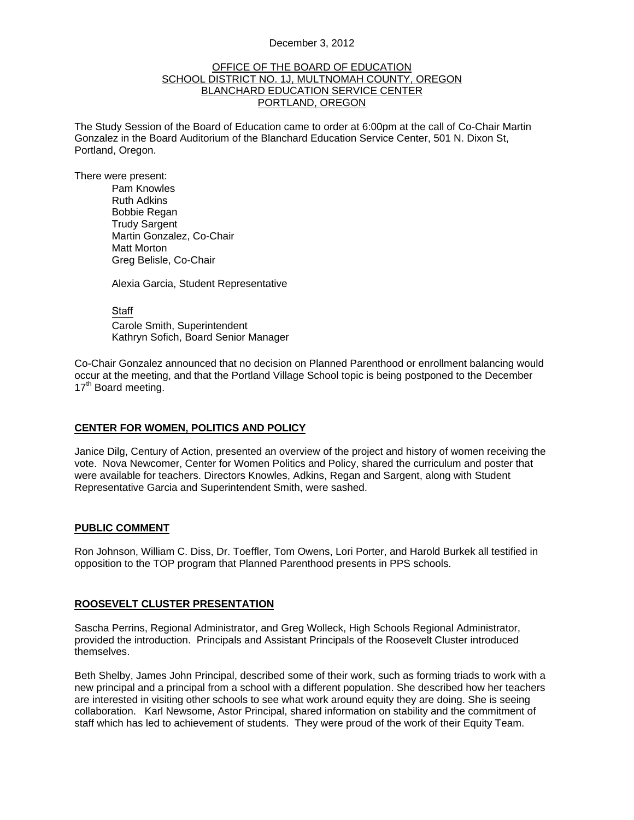#### December 3, 2012

#### OFFICE OF THE BOARD OF EDUCATION SCHOOL DISTRICT NO. 1J, MULTNOMAH COUNTY, OREGON BLANCHARD EDUCATION SERVICE CENTER PORTLAND, OREGON

The Study Session of the Board of Education came to order at 6:00pm at the call of Co-Chair Martin Gonzalez in the Board Auditorium of the Blanchard Education Service Center, 501 N. Dixon St, Portland, Oregon.

There were present: Pam Knowles

Ruth Adkins Bobbie Regan Trudy Sargent Martin Gonzalez, Co-Chair Matt Morton Greg Belisle, Co-Chair

Alexia Garcia, Student Representative

**Staff** 

 Carole Smith, Superintendent Kathryn Sofich, Board Senior Manager

Co-Chair Gonzalez announced that no decision on Planned Parenthood or enrollment balancing would occur at the meeting, and that the Portland Village School topic is being postponed to the December 17<sup>th</sup> Board meeting.

#### **CENTER FOR WOMEN, POLITICS AND POLICY**

Janice Dilg, Century of Action, presented an overview of the project and history of women receiving the vote. Nova Newcomer, Center for Women Politics and Policy, shared the curriculum and poster that were available for teachers. Directors Knowles, Adkins, Regan and Sargent, along with Student Representative Garcia and Superintendent Smith, were sashed.

#### **PUBLIC COMMENT**

Ron Johnson, William C. Diss, Dr. Toeffler, Tom Owens, Lori Porter, and Harold Burkek all testified in opposition to the TOP program that Planned Parenthood presents in PPS schools.

## **ROOSEVELT CLUSTER PRESENTATION**

Sascha Perrins, Regional Administrator, and Greg Wolleck, High Schools Regional Administrator, provided the introduction. Principals and Assistant Principals of the Roosevelt Cluster introduced themselves.

Beth Shelby, James John Principal, described some of their work, such as forming triads to work with a new principal and a principal from a school with a different population. She described how her teachers are interested in visiting other schools to see what work around equity they are doing. She is seeing collaboration. Karl Newsome, Astor Principal, shared information on stability and the commitment of staff which has led to achievement of students. They were proud of the work of their Equity Team.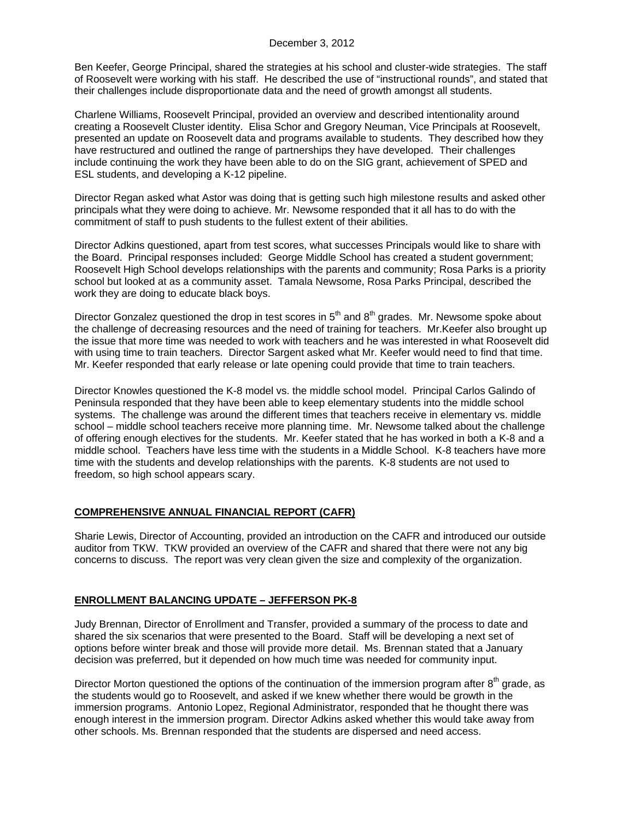#### December 3, 2012

Ben Keefer, George Principal, shared the strategies at his school and cluster-wide strategies. The staff of Roosevelt were working with his staff. He described the use of "instructional rounds", and stated that their challenges include disproportionate data and the need of growth amongst all students.

Charlene Williams, Roosevelt Principal, provided an overview and described intentionality around creating a Roosevelt Cluster identity. Elisa Schor and Gregory Neuman, Vice Principals at Roosevelt, presented an update on Roosevelt data and programs available to students. They described how they have restructured and outlined the range of partnerships they have developed. Their challenges include continuing the work they have been able to do on the SIG grant, achievement of SPED and ESL students, and developing a K-12 pipeline.

Director Regan asked what Astor was doing that is getting such high milestone results and asked other principals what they were doing to achieve. Mr. Newsome responded that it all has to do with the commitment of staff to push students to the fullest extent of their abilities.

Director Adkins questioned, apart from test scores, what successes Principals would like to share with the Board. Principal responses included: George Middle School has created a student government; Roosevelt High School develops relationships with the parents and community; Rosa Parks is a priority school but looked at as a community asset. Tamala Newsome, Rosa Parks Principal, described the work they are doing to educate black boys.

Director Gonzalez questioned the drop in test scores in  $5<sup>th</sup>$  and  $8<sup>th</sup>$  grades. Mr. Newsome spoke about the challenge of decreasing resources and the need of training for teachers. Mr.Keefer also brought up the issue that more time was needed to work with teachers and he was interested in what Roosevelt did with using time to train teachers. Director Sargent asked what Mr. Keefer would need to find that time. Mr. Keefer responded that early release or late opening could provide that time to train teachers.

Director Knowles questioned the K-8 model vs. the middle school model. Principal Carlos Galindo of Peninsula responded that they have been able to keep elementary students into the middle school systems. The challenge was around the different times that teachers receive in elementary vs. middle school – middle school teachers receive more planning time. Mr. Newsome talked about the challenge of offering enough electives for the students. Mr. Keefer stated that he has worked in both a K-8 and a middle school. Teachers have less time with the students in a Middle School. K-8 teachers have more time with the students and develop relationships with the parents. K-8 students are not used to freedom, so high school appears scary.

## **COMPREHENSIVE ANNUAL FINANCIAL REPORT (CAFR)**

Sharie Lewis, Director of Accounting, provided an introduction on the CAFR and introduced our outside auditor from TKW. TKW provided an overview of the CAFR and shared that there were not any big concerns to discuss. The report was very clean given the size and complexity of the organization.

## **ENROLLMENT BALANCING UPDATE – JEFFERSON PK-8**

Judy Brennan, Director of Enrollment and Transfer, provided a summary of the process to date and shared the six scenarios that were presented to the Board. Staff will be developing a next set of options before winter break and those will provide more detail. Ms. Brennan stated that a January decision was preferred, but it depended on how much time was needed for community input.

Director Morton questioned the options of the continuation of the immersion program after  $8<sup>th</sup>$  grade, as the students would go to Roosevelt, and asked if we knew whether there would be growth in the immersion programs. Antonio Lopez, Regional Administrator, responded that he thought there was enough interest in the immersion program. Director Adkins asked whether this would take away from other schools. Ms. Brennan responded that the students are dispersed and need access.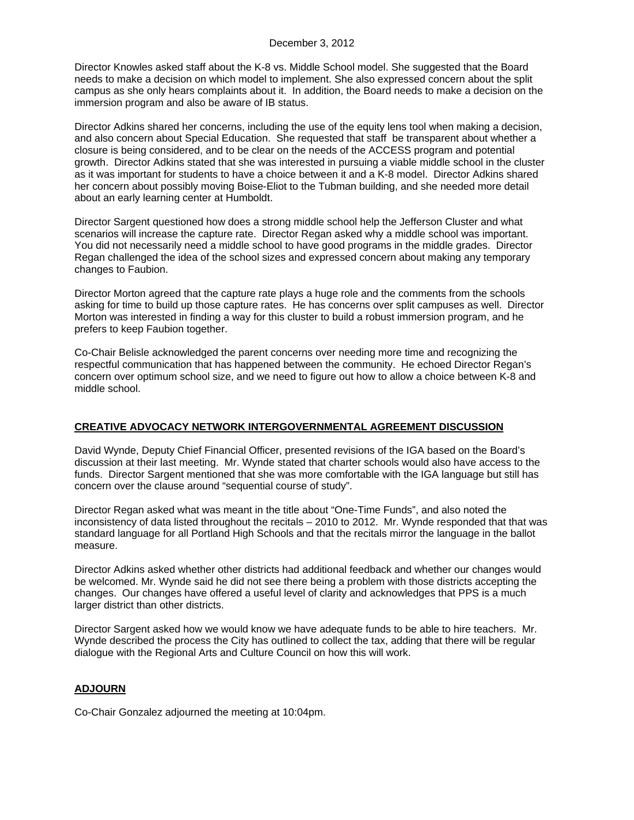Director Knowles asked staff about the K-8 vs. Middle School model. She suggested that the Board needs to make a decision on which model to implement. She also expressed concern about the split campus as she only hears complaints about it. In addition, the Board needs to make a decision on the immersion program and also be aware of IB status.

Director Adkins shared her concerns, including the use of the equity lens tool when making a decision, and also concern about Special Education. She requested that staff be transparent about whether a closure is being considered, and to be clear on the needs of the ACCESS program and potential growth. Director Adkins stated that she was interested in pursuing a viable middle school in the cluster as it was important for students to have a choice between it and a K-8 model. Director Adkins shared her concern about possibly moving Boise-Eliot to the Tubman building, and she needed more detail about an early learning center at Humboldt.

Director Sargent questioned how does a strong middle school help the Jefferson Cluster and what scenarios will increase the capture rate. Director Regan asked why a middle school was important. You did not necessarily need a middle school to have good programs in the middle grades. Director Regan challenged the idea of the school sizes and expressed concern about making any temporary changes to Faubion.

Director Morton agreed that the capture rate plays a huge role and the comments from the schools asking for time to build up those capture rates. He has concerns over split campuses as well. Director Morton was interested in finding a way for this cluster to build a robust immersion program, and he prefers to keep Faubion together.

Co-Chair Belisle acknowledged the parent concerns over needing more time and recognizing the respectful communication that has happened between the community. He echoed Director Regan's concern over optimum school size, and we need to figure out how to allow a choice between K-8 and middle school.

## **CREATIVE ADVOCACY NETWORK INTERGOVERNMENTAL AGREEMENT DISCUSSION**

David Wynde, Deputy Chief Financial Officer, presented revisions of the IGA based on the Board's discussion at their last meeting. Mr. Wynde stated that charter schools would also have access to the funds. Director Sargent mentioned that she was more comfortable with the IGA language but still has concern over the clause around "sequential course of study".

Director Regan asked what was meant in the title about "One-Time Funds", and also noted the inconsistency of data listed throughout the recitals – 2010 to 2012. Mr. Wynde responded that that was standard language for all Portland High Schools and that the recitals mirror the language in the ballot measure.

Director Adkins asked whether other districts had additional feedback and whether our changes would be welcomed. Mr. Wynde said he did not see there being a problem with those districts accepting the changes. Our changes have offered a useful level of clarity and acknowledges that PPS is a much larger district than other districts.

Director Sargent asked how we would know we have adequate funds to be able to hire teachers. Mr. Wynde described the process the City has outlined to collect the tax, adding that there will be regular dialogue with the Regional Arts and Culture Council on how this will work.

## **ADJOURN**

Co-Chair Gonzalez adjourned the meeting at 10:04pm.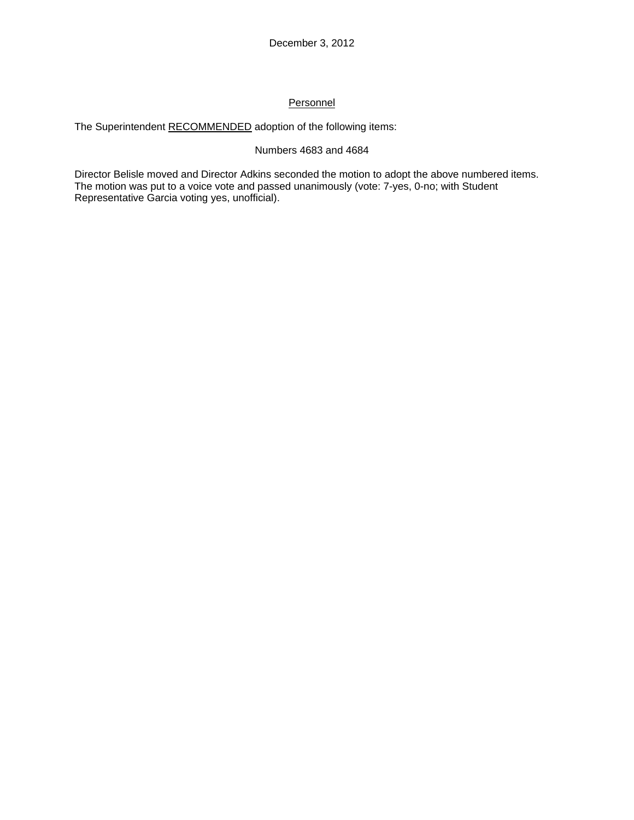# **Personnel**

The Superintendent RECOMMENDED adoption of the following items:

## Numbers 4683 and 4684

Director Belisle moved and Director Adkins seconded the motion to adopt the above numbered items. The motion was put to a voice vote and passed unanimously (vote: 7-yes, 0-no; with Student Representative Garcia voting yes, unofficial).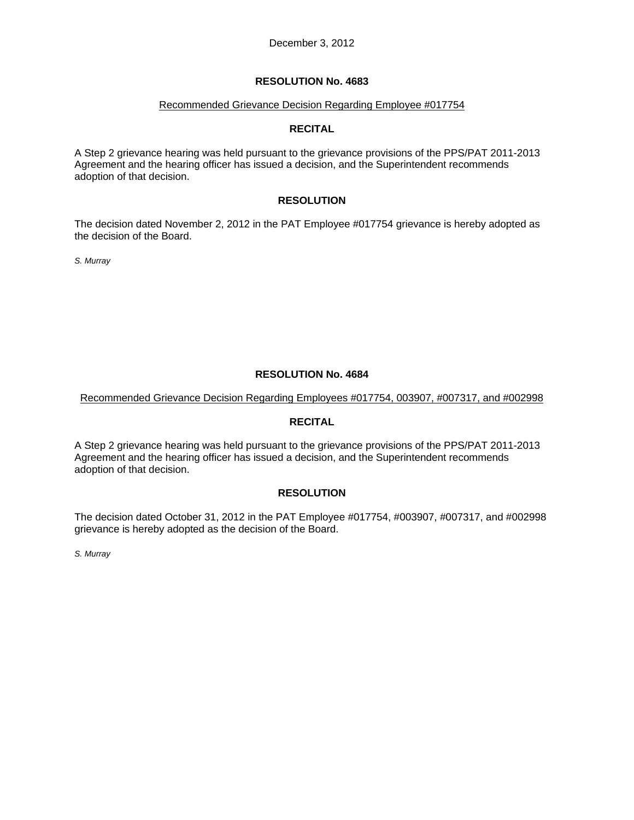#### Recommended Grievance Decision Regarding Employee #017754

# **RECITAL**

A Step 2 grievance hearing was held pursuant to the grievance provisions of the PPS/PAT 2011-2013 Agreement and the hearing officer has issued a decision, and the Superintendent recommends adoption of that decision.

### **RESOLUTION**

The decision dated November 2, 2012 in the PAT Employee #017754 grievance is hereby adopted as the decision of the Board.

*S. Murray* 

# **RESOLUTION No. 4684**

Recommended Grievance Decision Regarding Employees #017754, 003907, #007317, and #002998

## **RECITAL**

A Step 2 grievance hearing was held pursuant to the grievance provisions of the PPS/PAT 2011-2013 Agreement and the hearing officer has issued a decision, and the Superintendent recommends adoption of that decision.

## **RESOLUTION**

The decision dated October 31, 2012 in the PAT Employee #017754, #003907, #007317, and #002998 grievance is hereby adopted as the decision of the Board.

*S. Murray*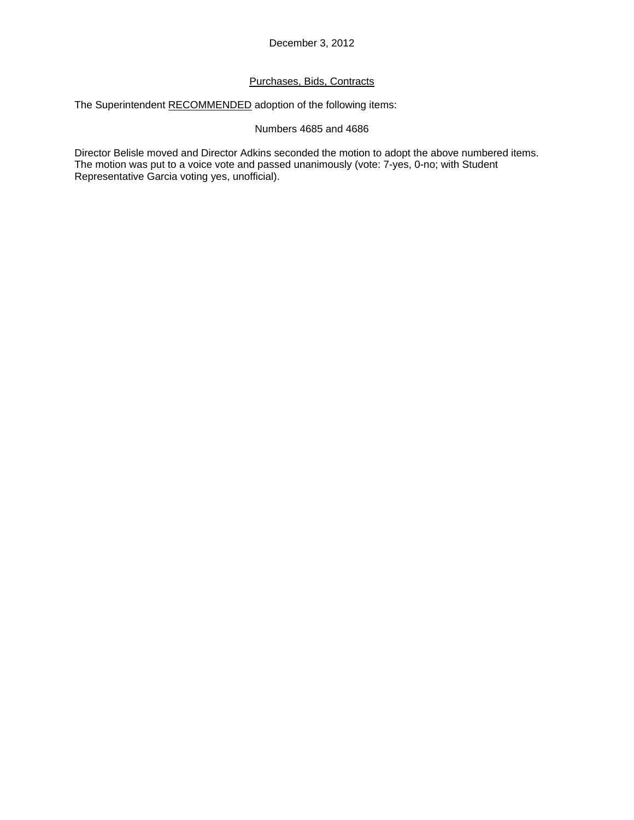# Purchases, Bids, Contracts

The Superintendent RECOMMENDED adoption of the following items:

### Numbers 4685 and 4686

Director Belisle moved and Director Adkins seconded the motion to adopt the above numbered items. The motion was put to a voice vote and passed unanimously (vote: 7-yes, 0-no; with Student Representative Garcia voting yes, unofficial).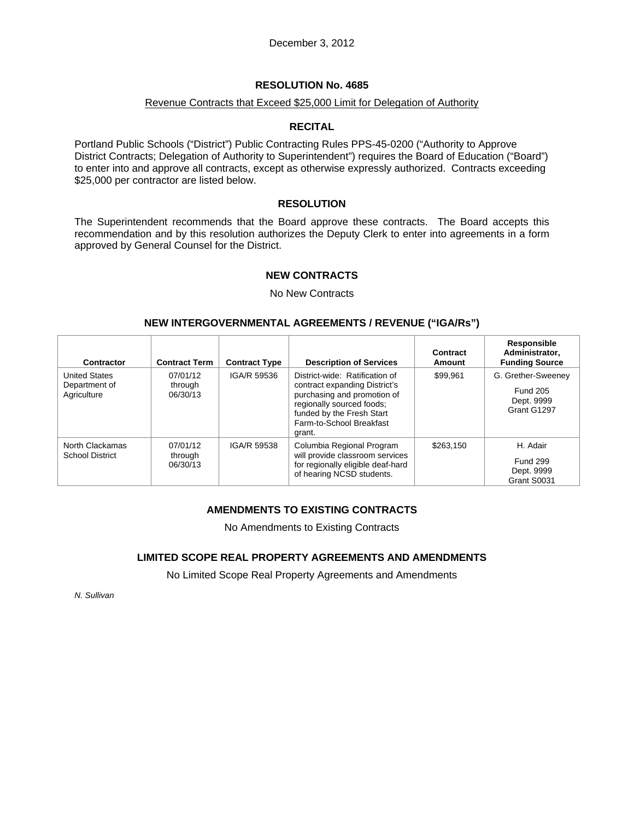### Revenue Contracts that Exceed \$25,000 Limit for Delegation of Authority

#### **RECITAL**

Portland Public Schools ("District") Public Contracting Rules PPS-45-0200 ("Authority to Approve District Contracts; Delegation of Authority to Superintendent") requires the Board of Education ("Board") to enter into and approve all contracts, except as otherwise expressly authorized. Contracts exceeding \$25,000 per contractor are listed below.

#### **RESOLUTION**

The Superintendent recommends that the Board approve these contracts. The Board accepts this recommendation and by this resolution authorizes the Deputy Clerk to enter into agreements in a form approved by General Counsel for the District.

### **NEW CONTRACTS**

No New Contracts

### **NEW INTERGOVERNMENTAL AGREEMENTS / REVENUE ("IGA/Rs")**

| Contractor                                           | <b>Contract Term</b>                           | <b>Contract Type</b> | <b>Description of Services</b>                                                                                                                                                                 | Contract<br>Amount | Responsible<br>Administrator,<br><b>Funding Source</b>             |
|------------------------------------------------------|------------------------------------------------|----------------------|------------------------------------------------------------------------------------------------------------------------------------------------------------------------------------------------|--------------------|--------------------------------------------------------------------|
| <b>United States</b><br>Department of<br>Agriculture | IGA/R 59536<br>07/01/12<br>through<br>06/30/13 |                      | District-wide: Ratification of<br>contract expanding District's<br>purchasing and promotion of<br>regionally sourced foods;<br>funded by the Fresh Start<br>Farm-to-School Breakfast<br>grant. | \$99.961           | G. Grether-Sweeney<br><b>Fund 205</b><br>Dept. 9999<br>Grant G1297 |
| North Clackamas<br><b>School District</b>            | 07/01/12<br>through<br>06/30/13                | IGA/R 59538          | Columbia Regional Program<br>will provide classroom services<br>for regionally eligible deaf-hard<br>of hearing NCSD students.                                                                 | \$263.150          | H. Adair<br><b>Fund 299</b><br>Dept. 9999<br>Grant S0031           |

## **AMENDMENTS TO EXISTING CONTRACTS**

No Amendments to Existing Contracts

### **LIMITED SCOPE REAL PROPERTY AGREEMENTS AND AMENDMENTS**

No Limited Scope Real Property Agreements and Amendments

*N. Sullivan*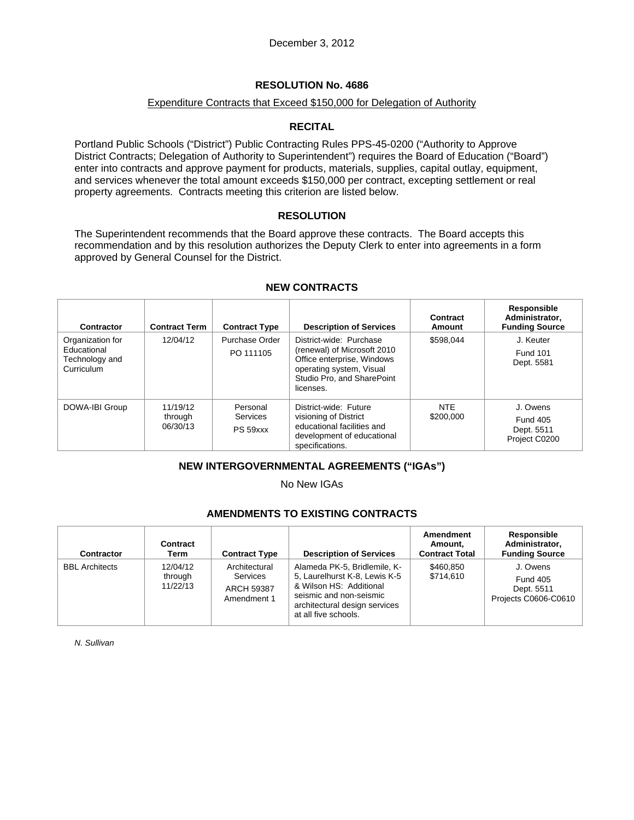### Expenditure Contracts that Exceed \$150,000 for Delegation of Authority

## **RECITAL**

Portland Public Schools ("District") Public Contracting Rules PPS-45-0200 ("Authority to Approve District Contracts; Delegation of Authority to Superintendent") requires the Board of Education ("Board") enter into contracts and approve payment for products, materials, supplies, capital outlay, equipment, and services whenever the total amount exceeds \$150,000 per contract, excepting settlement or real property agreements. Contracts meeting this criterion are listed below.

## **RESOLUTION**

The Superintendent recommends that the Board approve these contracts. The Board accepts this recommendation and by this resolution authorizes the Deputy Clerk to enter into agreements in a form approved by General Counsel for the District.

| Contractor                                                      | <b>Contract Term</b>                                                                   | <b>Contract Type</b>        | <b>Description of Services</b>                                                                                                                              | Contract<br>Amount      | Responsible<br>Administrator.<br><b>Funding Source</b>     |  |
|-----------------------------------------------------------------|----------------------------------------------------------------------------------------|-----------------------------|-------------------------------------------------------------------------------------------------------------------------------------------------------------|-------------------------|------------------------------------------------------------|--|
| Organization for<br>Educational<br>Technology and<br>Curriculum | 12/04/12                                                                               | Purchase Order<br>PO 111105 | District-wide: Purchase<br>(renewal) of Microsoft 2010<br>Office enterprise, Windows<br>operating system, Visual<br>Studio Pro, and SharePoint<br>licenses. | \$598.044               | J. Keuter<br><b>Fund 101</b><br>Dept. 5581                 |  |
| DOWA-IBI Group                                                  | 11/19/12<br>Personal<br>Services<br>through<br>06/30/13<br>PS 59xxx<br>specifications. |                             | District-wide: Future<br>visioning of District<br>educational facilities and<br>development of educational                                                  | <b>NTE</b><br>\$200,000 | J. Owens<br><b>Fund 405</b><br>Dept. 5511<br>Project C0200 |  |

### **NEW CONTRACTS**

## **NEW INTERGOVERNMENTAL AGREEMENTS ("IGAs")**

No New IGAs

# **AMENDMENTS TO EXISTING CONTRACTS**

| <b>Contractor</b>     | Contract<br>Term                | <b>Contract Type</b>                                                 | <b>Description of Services</b>                                                                                                                                               | Amendment<br>Amount.<br><b>Contract Total</b> | Responsible<br>Administrator.<br><b>Funding Source</b>            |
|-----------------------|---------------------------------|----------------------------------------------------------------------|------------------------------------------------------------------------------------------------------------------------------------------------------------------------------|-----------------------------------------------|-------------------------------------------------------------------|
| <b>BBL</b> Architects | 12/04/12<br>through<br>11/22/13 | Architectural<br><b>Services</b><br><b>ARCH 59387</b><br>Amendment 1 | Alameda PK-5, Bridlemile, K-<br>5, Laurelhurst K-8, Lewis K-5<br>& Wilson HS: Additional<br>seismic and non-seismic<br>architectural design services<br>at all five schools. | \$460.850<br>\$714,610                        | J. Owens<br><b>Fund 405</b><br>Dept. 5511<br>Projects C0606-C0610 |

*N. Sullivan*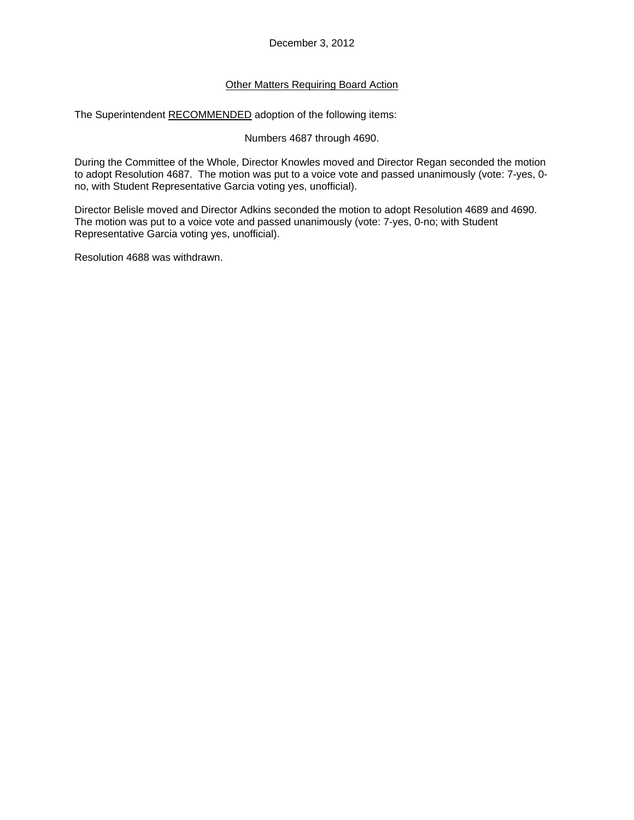## Other Matters Requiring Board Action

The Superintendent RECOMMENDED adoption of the following items:

Numbers 4687 through 4690.

During the Committee of the Whole, Director Knowles moved and Director Regan seconded the motion to adopt Resolution 4687. The motion was put to a voice vote and passed unanimously (vote: 7-yes, 0 no, with Student Representative Garcia voting yes, unofficial).

Director Belisle moved and Director Adkins seconded the motion to adopt Resolution 4689 and 4690. The motion was put to a voice vote and passed unanimously (vote: 7-yes, 0-no; with Student Representative Garcia voting yes, unofficial).

Resolution 4688 was withdrawn.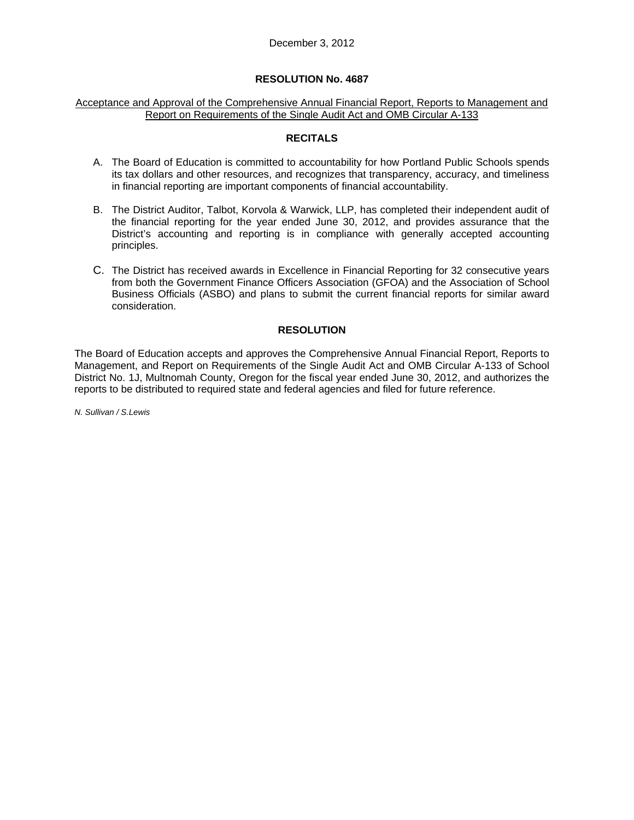#### Acceptance and Approval of the Comprehensive Annual Financial Report, Reports to Management and Report on Requirements of the Single Audit Act and OMB Circular A-133

### **RECITALS**

- A. The Board of Education is committed to accountability for how Portland Public Schools spends its tax dollars and other resources, and recognizes that transparency, accuracy, and timeliness in financial reporting are important components of financial accountability.
- B. The District Auditor, Talbot, Korvola & Warwick, LLP, has completed their independent audit of the financial reporting for the year ended June 30, 2012, and provides assurance that the District's accounting and reporting is in compliance with generally accepted accounting principles.
- C. The District has received awards in Excellence in Financial Reporting for 32 consecutive years from both the Government Finance Officers Association (GFOA) and the Association of School Business Officials (ASBO) and plans to submit the current financial reports for similar award consideration.

## **RESOLUTION**

The Board of Education accepts and approves the Comprehensive Annual Financial Report, Reports to Management, and Report on Requirements of the Single Audit Act and OMB Circular A-133 of School District No. 1J, Multnomah County, Oregon for the fiscal year ended June 30, 2012, and authorizes the reports to be distributed to required state and federal agencies and filed for future reference.

*N. Sullivan / S.Lewis*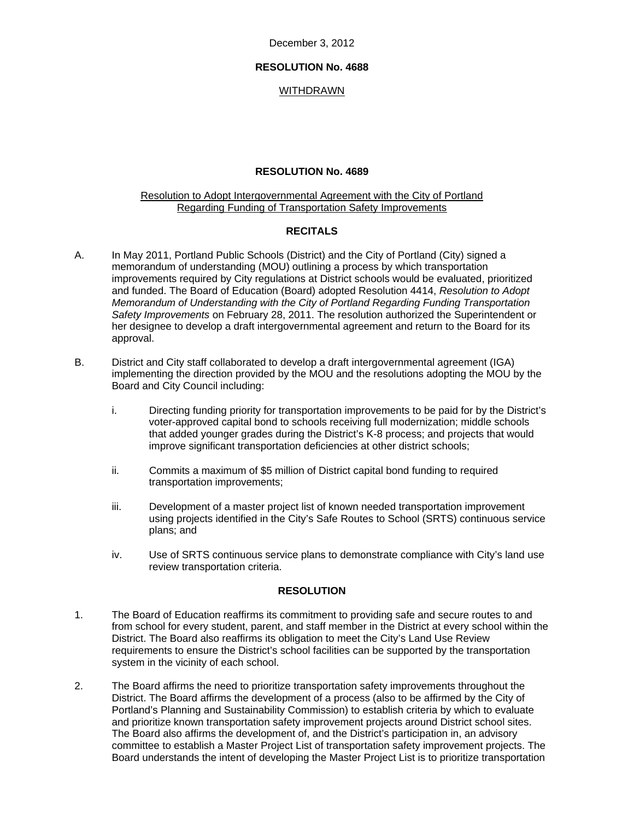December 3, 2012

### **RESOLUTION No. 4688**

### WITHDRAWN

## **RESOLUTION No. 4689**

#### Resolution to Adopt Intergovernmental Agreement with the City of Portland Regarding Funding of Transportation Safety Improvements

### **RECITALS**

- A. In May 2011, Portland Public Schools (District) and the City of Portland (City) signed a memorandum of understanding (MOU) outlining a process by which transportation improvements required by City regulations at District schools would be evaluated, prioritized and funded. The Board of Education (Board) adopted Resolution 4414, *Resolution to Adopt Memorandum of Understanding with the City of Portland Regarding Funding Transportation Safety Improvements* on February 28, 2011. The resolution authorized the Superintendent or her designee to develop a draft intergovernmental agreement and return to the Board for its approval.
- B. District and City staff collaborated to develop a draft intergovernmental agreement (IGA) implementing the direction provided by the MOU and the resolutions adopting the MOU by the Board and City Council including:
	- i. Directing funding priority for transportation improvements to be paid for by the District's voter-approved capital bond to schools receiving full modernization; middle schools that added younger grades during the District's K-8 process; and projects that would improve significant transportation deficiencies at other district schools;
	- ii. Commits a maximum of \$5 million of District capital bond funding to required transportation improvements;
	- iii. Development of a master project list of known needed transportation improvement using projects identified in the City's Safe Routes to School (SRTS) continuous service plans; and
	- iv. Use of SRTS continuous service plans to demonstrate compliance with City's land use review transportation criteria.

#### **RESOLUTION**

- 1. The Board of Education reaffirms its commitment to providing safe and secure routes to and from school for every student, parent, and staff member in the District at every school within the District. The Board also reaffirms its obligation to meet the City's Land Use Review requirements to ensure the District's school facilities can be supported by the transportation system in the vicinity of each school.
- 2. The Board affirms the need to prioritize transportation safety improvements throughout the District. The Board affirms the development of a process (also to be affirmed by the City of Portland's Planning and Sustainability Commission) to establish criteria by which to evaluate and prioritize known transportation safety improvement projects around District school sites. The Board also affirms the development of, and the District's participation in, an advisory committee to establish a Master Project List of transportation safety improvement projects. The Board understands the intent of developing the Master Project List is to prioritize transportation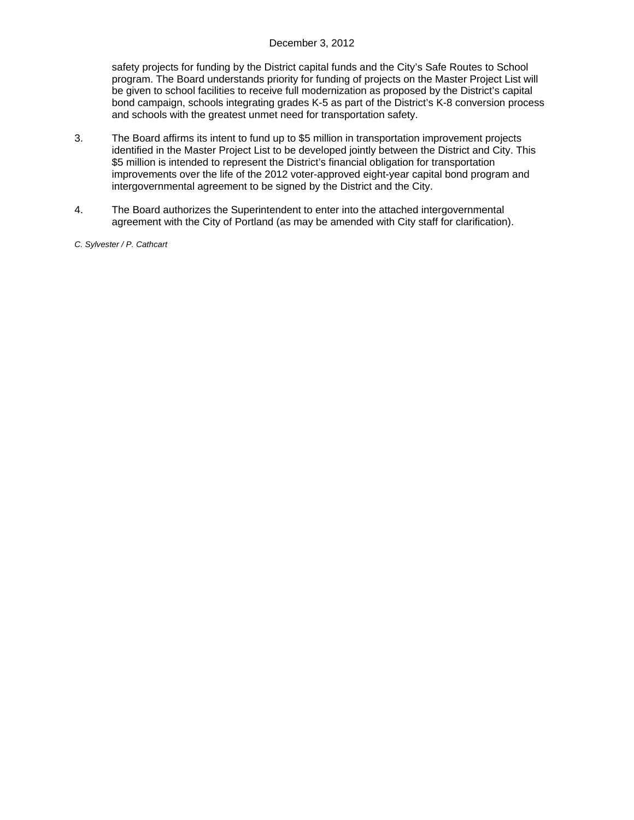safety projects for funding by the District capital funds and the City's Safe Routes to School program. The Board understands priority for funding of projects on the Master Project List will be given to school facilities to receive full modernization as proposed by the District's capital bond campaign, schools integrating grades K-5 as part of the District's K-8 conversion process and schools with the greatest unmet need for transportation safety.

- 3. The Board affirms its intent to fund up to \$5 million in transportation improvement projects identified in the Master Project List to be developed jointly between the District and City. This \$5 million is intended to represent the District's financial obligation for transportation improvements over the life of the 2012 voter-approved eight-year capital bond program and intergovernmental agreement to be signed by the District and the City.
- 4. The Board authorizes the Superintendent to enter into the attached intergovernmental agreement with the City of Portland (as may be amended with City staff for clarification).
- *C. Sylvester / P. Cathcart*